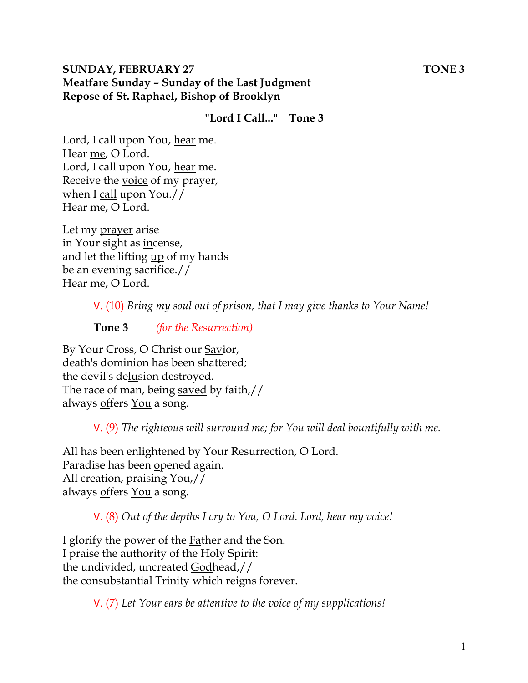# **SUNDAY, FEBRUARY 27** TONE 3 **Meatfare Sunday – Sunday of the Last Judgment Repose of St. Raphael, Bishop of Brooklyn**

**"Lord I Call..." Tone 3**

Lord, I call upon You, hear me. Hear me, O Lord. Lord, I call upon You, hear me. Receive the voice of my prayer, when I call upon You.// Hear me, O Lord.

Let my prayer arise in Your sight as incense, and let the lifting up of my hands be an evening sacrifice.// Hear me, O Lord.

V. (10) *Bring my soul out of prison, that I may give thanks to Your Name!* 

**Tone 3** *(for the Resurrection)* 

By Your Cross, O Christ our Savior, death's dominion has been shattered; the devil's delusion destroyed. The race of man, being saved by faith,// always offers You a song.

V. (9) *The righteous will surround me; for You will deal bountifully with me.* 

All has been enlightened by Your Resurrection, O Lord. Paradise has been opened again. All creation, praising You,// always <u>offers You</u> a song.

V. (8) *Out of the depths I cry to You, O Lord. Lord, hear my voice!* 

I glorify the power of the Father and the Son. I praise the authority of the Holy Spirit: the undivided, uncreated Godhead,// the consubstantial Trinity which reigns forever.

V. (7) *Let Your ears be attentive to the voice of my supplications!*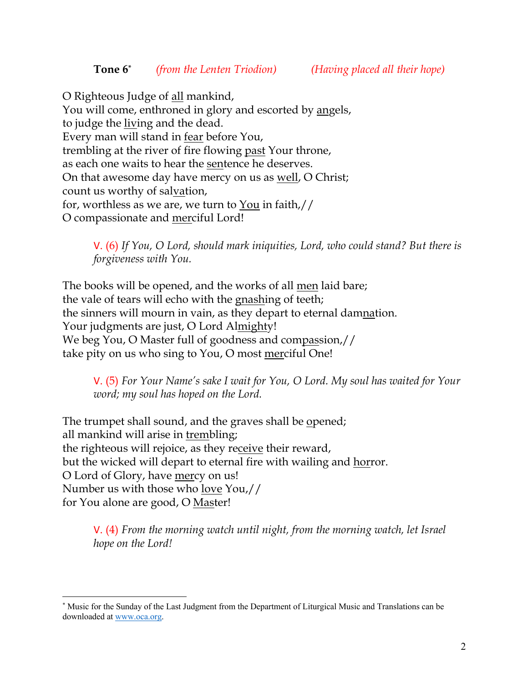O Righteous Judge of <u>all</u> mankind, You will come, enthroned in glory and escorted by angels, to judge the living and the dead. Every man will stand in fear before You, trembling at the river of fire flowing past Your throne, as each one waits to hear the sentence he deserves. On that awesome day have mercy on us as <u>well</u>, O Christ; count us worthy of salvation, for, worthless as we are, we turn to You in faith,// O compassionate and merciful Lord!

> V. (6) *If You, O Lord, should mark iniquities, Lord, who could stand? But there is forgiveness with You.*

The books will be opened, and the works of all men laid bare; the vale of tears will echo with the gnashing of teeth; the sinners will mourn in vain, as they depart to eternal damnation. Your judgments are just, O Lord Almighty! We beg You, O Master full of goodness and compassion,// take pity on us who sing to You, O most merciful One!

V. (5) *For Your Name's sake I wait for You, O Lord. My soul has waited for Your word; my soul has hoped on the Lord.* 

The trumpet shall sound, and the graves shall be opened; all mankind will arise in trembling; the righteous will rejoice, as they receive their reward, but the wicked will depart to eternal fire with wailing and horror. O Lord of Glory, have mercy on us! Number us with those who love You,// for You alone are good, O Master!

V. (4) *From the morning watch until night, from the morning watch, let Israel hope on the Lord!* 

<sup>\*</sup> Music for the Sunday of the Last Judgment from the Department of Liturgical Music and Translations can be downloaded at www.oca.org.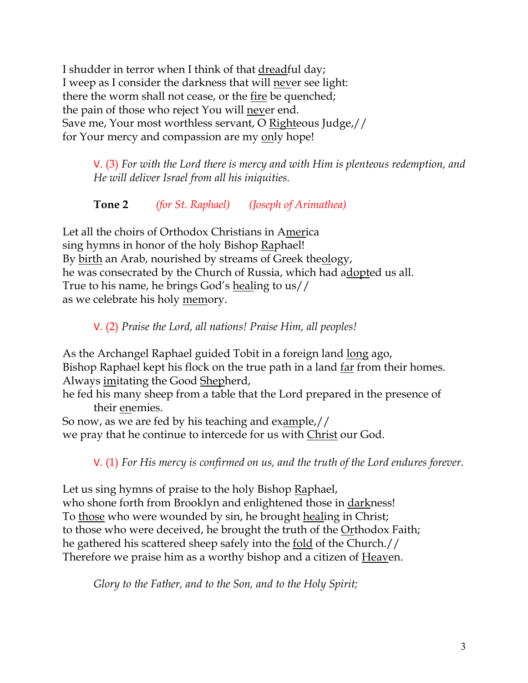I shudder in terror when I think of that dreadful day; I weep as I consider the darkness that will never see light: there the worm shall not cease, or the fire be quenched; the pain of those who reject You will never end. Save me, Your most worthless servant, O Righteous Judge,// for Your mercy and compassion are my only hope!

> V. (3) *For with the Lord there is mercy and with Him is plenteous redemption, and He will deliver Israel from all his iniquities.*

**Tone 2** *(for St. Raphael) (Joseph of Arimathea)*

Let all the choirs of Orthodox Christians in America sing hymns in honor of the holy Bishop Raphael! By birth an Arab, nourished by streams of Greek theology, he was consecrated by the Church of Russia, which had adopted us all. True to his name, he brings God's healing to us// as we celebrate his holy memory.

V. (2) *Praise the Lord, all nations! Praise Him, all peoples!*

As the Archangel Raphael guided Tobit in a foreign land long ago, Bishop Raphael kept his flock on the true path in a land far from their homes. Always imitating the Good Shepherd,

he fed his many sheep from a table that the Lord prepared in the presence of their enemies.

So now, as we are fed by his teaching and example,// we pray that he continue to intercede for us with Christ our God.

V. (1) *For His mercy is confirmed on us, and the truth of the Lord endures forever.* 

Let us sing hymns of praise to the holy Bishop Raphael, who shone forth from Brooklyn and enlightened those in darkness! To those who were wounded by sin, he brought healing in Christ; to those who were deceived, he brought the truth of the Orthodox Faith; he gathered his scattered sheep safely into the fold of the Church.// Therefore we praise him as a worthy bishop and a citizen of Heaven.

*Glory to the Father, and to the Son, and to the Holy Spirit;*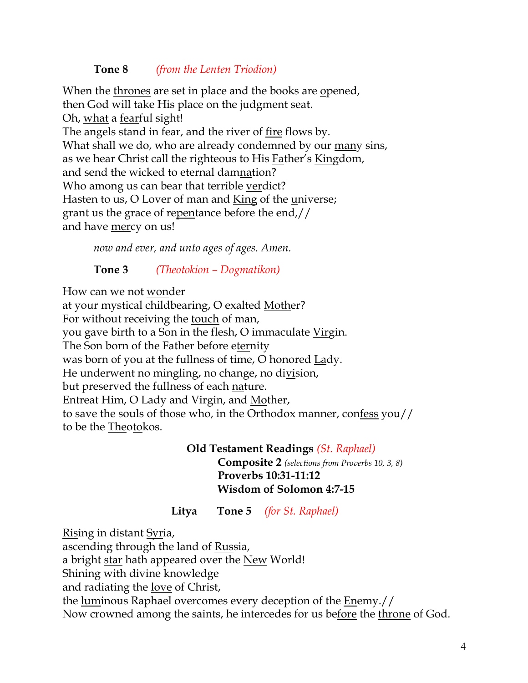# **Tone 8** *(from the Lenten Triodion)*

When the thrones are set in place and the books are opened, then God will take His place on the judgment seat. Oh, what a fearful sight! The angels stand in fear, and the river of fire flows by. What shall we do, who are already condemned by our many sins, as we hear Christ call the righteous to His Father's Kingdom, and send the wicked to eternal damnation? Who among us can bear that terrible verdict? Hasten to us, O Lover of man and King of the universe; grant us the grace of repentance before the end,// and have mercy on us!

*now and ever, and unto ages of ages. Amen.* 

**Tone 3** *(Theotokion – Dogmatikon)*

How can we not wonder

at your mystical childbearing, O exalted Mother? For without receiving the touch of man, you gave birth to a Son in the flesh, O immaculate Virgin. The Son born of the Father before eternity was born of you at the fullness of time, O honored Lady. He underwent no mingling, no change, no division, but preserved the fullness of each nature. Entreat Him, O Lady and Virgin, and Mother, to save the souls of those who, in the Orthodox manner, confess you// to be the Theotokos.

> **Old Testament Readings** *(St. Raphael)* **Composite 2** *(selections from Proverbs 10, 3, 8)* **Proverbs 10:31-11:12 Wisdom of Solomon 4:7-15**

**Litya Tone 5** *(for St. Raphael)*

Rising in distant Syria, ascending through the land of Russia, a bright star hath appeared over the New World! Shining with divine knowledge and radiating the <u>love</u> of Christ, the luminous Raphael overcomes every deception of the Enemy.// Now crowned among the saints, he intercedes for us before the throne of God.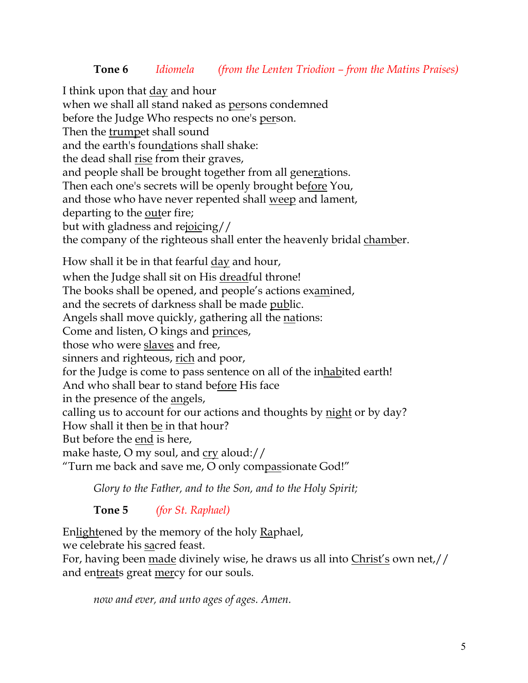# **Tone 6** *Idiomela (from the Lenten Triodion – from the Matins Praises)*

I think upon that day and hour when we shall all stand naked as persons condemned before the Judge Who respects no one's person. Then the trumpet shall sound and the earth's foundations shall shake: the dead shall rise from their graves, and people shall be brought together from all generations. Then each one's secrets will be openly brought before You, and those who have never repented shall weep and lament, departing to the outer fire; but with gladness and rejoicing// the company of the righteous shall enter the heavenly bridal chamber. How shall it be in that fearful day and hour, when the Judge shall sit on His dreadful throne! The books shall be opened, and people's actions examined, and the secrets of darkness shall be made public. Angels shall move quickly, gathering all the nations: Come and listen, O kings and princes, those who were slaves and free, sinners and righteous, rich and poor, for the Judge is come to pass sentence on all of the inhabited earth! And who shall bear to stand before His face in the presence of the angels, calling us to account for our actions and thoughts by night or by day? How shall it then be in that hour? But before the end is here, make haste, O my soul, and cry aloud:// "Turn me back and save me, O only compassionate God!"

*Glory to the Father, and to the Son, and to the Holy Spirit;*

**Tone 5** *(for St. Raphael)*

Enlightened by the memory of the holy Raphael,

we celebrate his sacred feast.

For, having been made divinely wise, he draws us all into Christ's own net,// and entreats great mercy for our souls.

*now and ever, and unto ages of ages. Amen.*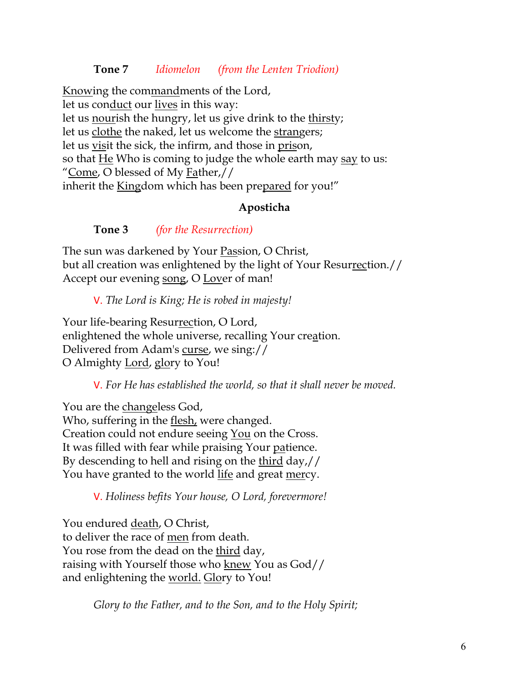### **Tone 7** *Idiomelon (from the Lenten Triodion)*

Knowing the commandments of the Lord, let us conduct our lives in this way: let us nourish the hungry, let us give drink to the thirsty; let us clothe the naked, let us welcome the strangers; let us visit the sick, the infirm, and those in prison, so that He Who is coming to judge the whole earth may say to us: "Come, O blessed of My Father,// inherit the Kingdom which has been prepared for you!"

### **Aposticha**

**Tone 3** *(for the Resurrection)*

The sun was darkened by Your Passion, O Christ, but all creation was enlightened by the light of Your Resurrection.// Accept our evening song, O Lover of man!

V. *The Lord is King; He is robed in majesty!* 

Your life-bearing Resurrection, O Lord, enlightened the whole universe, recalling Your creation. Delivered from Adam's curse, we sing:// O Almighty Lord, glory to You!

V. *For He has established the world, so that it shall never be moved.*

You are the changeless God, Who, suffering in the <u>flesh</u>, were changed. Creation could not endure seeing You on the Cross. It was filled with fear while praising Your patience. By descending to hell and rising on the third day,// You have granted to the world life and great mercy.

V. *Holiness befits Your house, O Lord, forevermore!* 

You endured death, O Christ, to deliver the race of men from death. You rose from the dead on the third day, raising with Yourself those who knew You as God// and enlightening the <u>world.</u> Glory to You!

*Glory to the Father, and to the Son, and to the Holy Spirit;*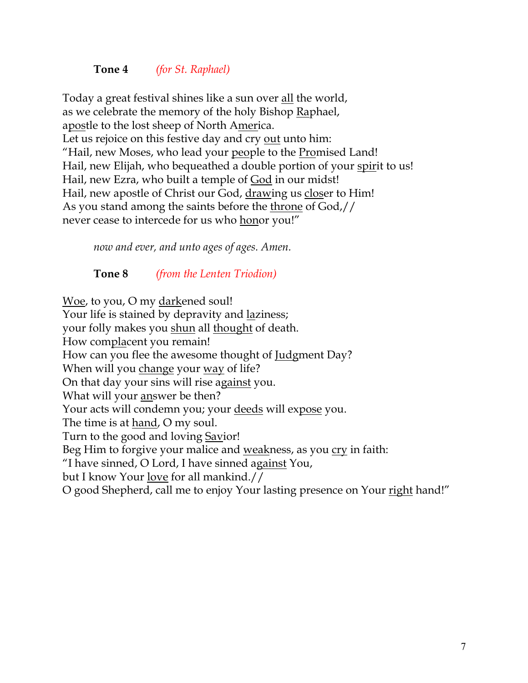### **Tone 4** *(for St. Raphael)*

Today a great festival shines like a sun over <u>all</u> the world, as we celebrate the memory of the holy Bishop Raphael, apostle to the lost sheep of North America. Let us rejoice on this festive day and cry out unto him: "Hail, new Moses, who lead your people to the Promised Land! Hail, new Elijah, who bequeathed a double portion of your spirit to us! Hail, new Ezra, who built a temple of **God** in our midst! Hail, new apostle of Christ our God, drawing us closer to Him! As you stand among the saints before the throne of God,// never cease to intercede for us who honor you!"

*now and ever, and unto ages of ages. Amen.*

# **Tone 8** *(from the Lenten Triodion)*

Woe, to you, O my darkened soul! Your life is stained by depravity and laziness; your folly makes you shun all thought of death. How complacent you remain! How can you flee the awesome thought of Judgment Day? When will you change your way of life? On that day your sins will rise against you. What will your <u>an</u>swer be then? Your acts will condemn you; your deeds will expose you. The time is at hand, O my soul. Turn to the good and loving Savior! Beg Him to forgive your malice and <u>weak</u>ness, as you <u>cry</u> in faith: "I have sinned, O Lord, I have sinned against You, but I know Your love for all mankind.// O good Shepherd, call me to enjoy Your lasting presence on Your right hand!"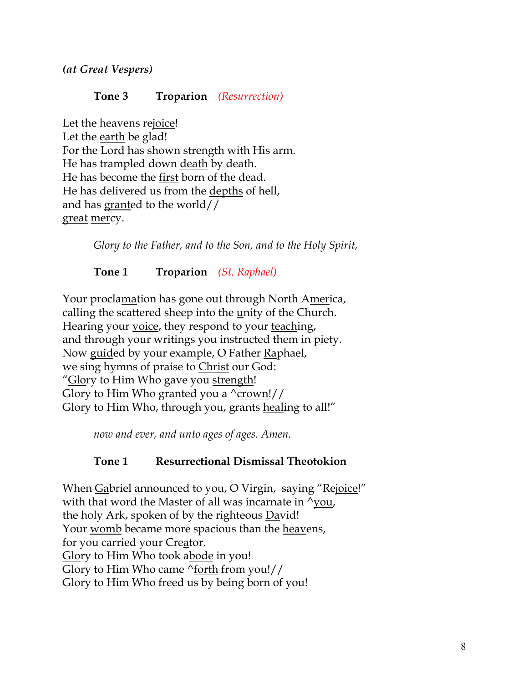*(at Great Vespers)*

## **Tone 3 Troparion** *(Resurrection)*

Let the heavens rejoice! Let the earth be glad! For the Lord has shown strength with His arm. He has trampled down death by death. He has become the first born of the dead. He has delivered us from the depths of hell, and has granted to the world// great mercy.

*Glory to the Father, and to the Son, and to the Holy Spirit,*

**Tone 1 Troparion** *(St. Raphael)*

Your proclamation has gone out through North America, calling the scattered sheep into the unity of the Church. Hearing your <u>voice</u>, they respond to your <u>teaching</u>, and through your writings you instructed them in piety. Now guided by your example, O Father Raphael, we sing hymns of praise to Christ our God: "Glory to Him Who gave you strength! Glory to Him Who granted you a  $\text{`crown!}/\text{/}$ Glory to Him Who, through you, grants healing to all!"

*now and ever, and unto ages of ages. Amen.*

# **Tone 1 Resurrectional Dismissal Theotokion**

When Gabriel announced to you, O Virgin, saying "Rejoice!" with that word the Master of all was incarnate in  $\gamma$ you, the holy Ark, spoken of by the righteous David! Your womb became more spacious than the heavens, for you carried your Creator. Glory to Him Who took abode in you! Glory to Him Who came ^forth from you!// Glory to Him Who freed us by being born of you!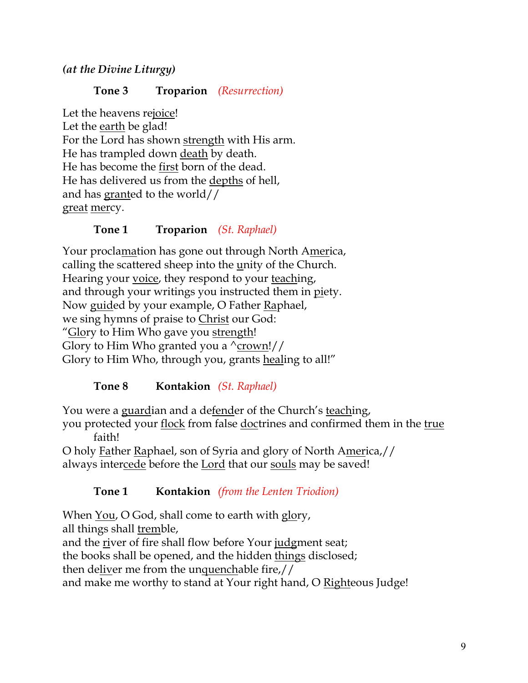*(at the Divine Liturgy)*

# **Tone 3 Troparion** *(Resurrection)*

Let the heavens rejoice! Let the earth be glad! For the Lord has shown strength with His arm. He has trampled down death by death. He has become the first born of the dead. He has delivered us from the depths of hell, and has granted to the world// great mercy.

# **Tone 1 Troparion** *(St. Raphael)*

Your proclamation has gone out through North America, calling the scattered sheep into the unity of the Church. Hearing your voice, they respond to your teaching, and through your writings you instructed them in piety. Now guided by your example, O Father Raphael, we sing hymns of praise to Christ our God: "Glory to Him Who gave you strength! Glory to Him Who granted you a  $\text{`crown!}/\text{/}$ Glory to Him Who, through you, grants healing to all!"

# **Tone 8 Kontakion** *(St. Raphael)*

You were a guardian and a defender of the Church's teaching,

you protected your flock from false doctrines and confirmed them in the true faith!

O holy Father Raphael, son of Syria and glory of North America,// always intercede before the Lord that our souls may be saved!

# **Tone 1 Kontakion** *(from the Lenten Triodion)*

When  $You$ , O God, shall come to earth with glory, all things shall tremble, and the river of fire shall flow before Your judgment seat; the books shall be opened, and the hidden things disclosed; then deliver me from the unquenchable fire,// and make me worthy to stand at Your right hand, O Righteous Judge!